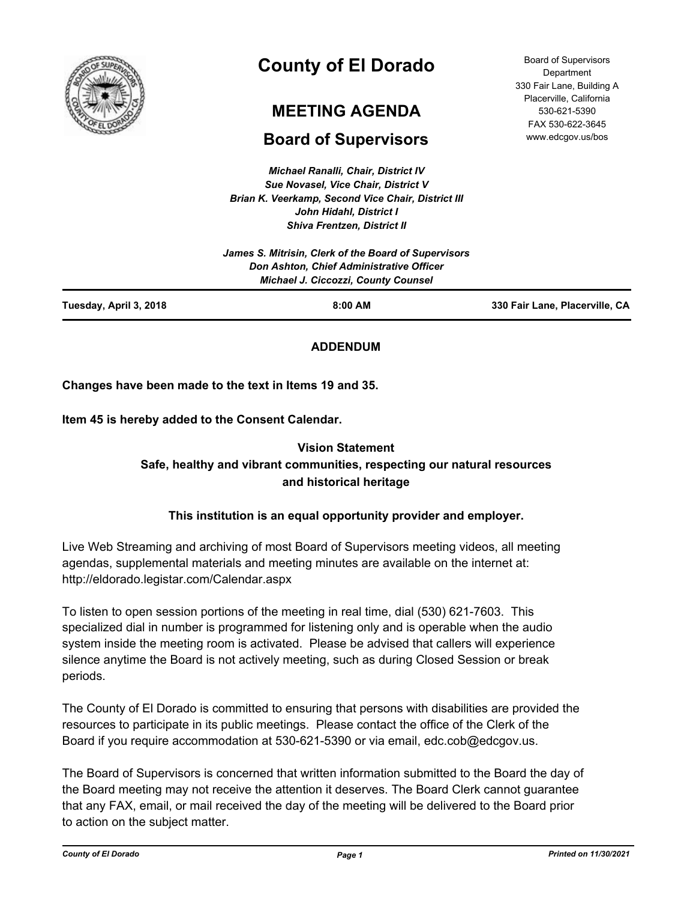

# **County of El Dorado**

# **MEETING AGENDA**

## **Board of Supervisors**

*Michael Ranalli, Chair, District IV Sue Novasel, Vice Chair, District V Brian K. Veerkamp, Second Vice Chair, District III John Hidahl, District I Shiva Frentzen, District II*

|                        | James S. Mitrisin, Clerk of the Board of Supervisors<br>Don Ashton, Chief Administrative Officer<br><b>Michael J. Ciccozzi, County Counsel</b> |                                |
|------------------------|------------------------------------------------------------------------------------------------------------------------------------------------|--------------------------------|
| Tuesday, April 3, 2018 | $8:00$ AM                                                                                                                                      | 330 Fair Lane, Placerville, CA |

## **ADDENDUM**

**Changes have been made to the text in Items 19 and 35.**

**Item 45 is hereby added to the Consent Calendar.**

## **Vision Statement Safe, healthy and vibrant communities, respecting our natural resources and historical heritage**

## **This institution is an equal opportunity provider and employer.**

Live Web Streaming and archiving of most Board of Supervisors meeting videos, all meeting agendas, supplemental materials and meeting minutes are available on the internet at: http://eldorado.legistar.com/Calendar.aspx

To listen to open session portions of the meeting in real time, dial (530) 621-7603. This specialized dial in number is programmed for listening only and is operable when the audio system inside the meeting room is activated. Please be advised that callers will experience silence anytime the Board is not actively meeting, such as during Closed Session or break periods.

The County of El Dorado is committed to ensuring that persons with disabilities are provided the resources to participate in its public meetings. Please contact the office of the Clerk of the Board if you require accommodation at 530-621-5390 or via email, edc.cob@edcgov.us.

The Board of Supervisors is concerned that written information submitted to the Board the day of the Board meeting may not receive the attention it deserves. The Board Clerk cannot guarantee that any FAX, email, or mail received the day of the meeting will be delivered to the Board prior to action on the subject matter.

Board of Supervisors Department 330 Fair Lane, Building A Placerville, California 530-621-5390 FAX 530-622-3645 www.edcgov.us/bos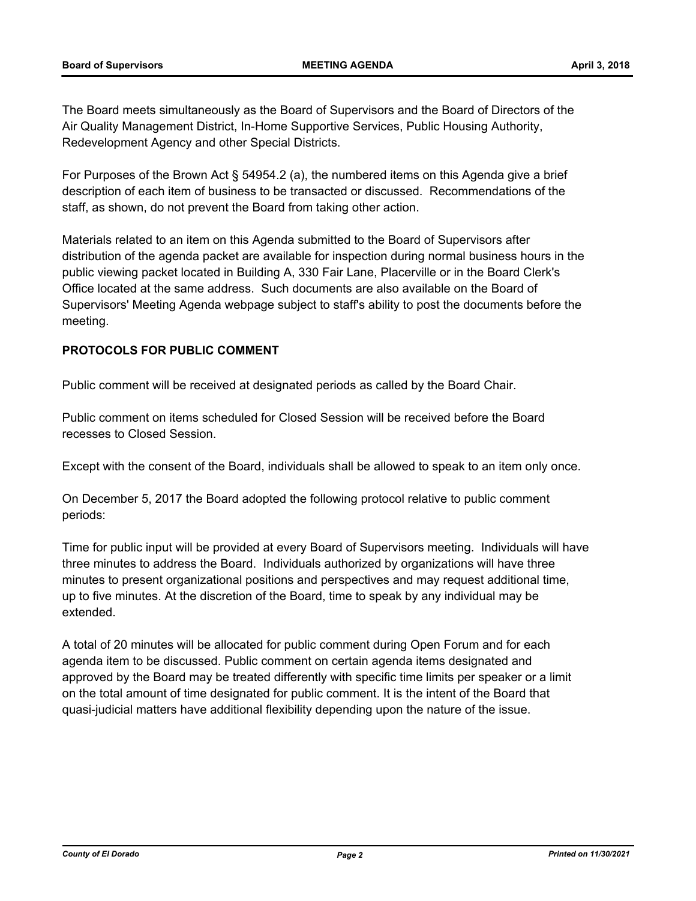The Board meets simultaneously as the Board of Supervisors and the Board of Directors of the Air Quality Management District, In-Home Supportive Services, Public Housing Authority, Redevelopment Agency and other Special Districts.

For Purposes of the Brown Act § 54954.2 (a), the numbered items on this Agenda give a brief description of each item of business to be transacted or discussed. Recommendations of the staff, as shown, do not prevent the Board from taking other action.

Materials related to an item on this Agenda submitted to the Board of Supervisors after distribution of the agenda packet are available for inspection during normal business hours in the public viewing packet located in Building A, 330 Fair Lane, Placerville or in the Board Clerk's Office located at the same address. Such documents are also available on the Board of Supervisors' Meeting Agenda webpage subject to staff's ability to post the documents before the meeting.

## **PROTOCOLS FOR PUBLIC COMMENT**

Public comment will be received at designated periods as called by the Board Chair.

Public comment on items scheduled for Closed Session will be received before the Board recesses to Closed Session.

Except with the consent of the Board, individuals shall be allowed to speak to an item only once.

On December 5, 2017 the Board adopted the following protocol relative to public comment periods:

Time for public input will be provided at every Board of Supervisors meeting. Individuals will have three minutes to address the Board. Individuals authorized by organizations will have three minutes to present organizational positions and perspectives and may request additional time, up to five minutes. At the discretion of the Board, time to speak by any individual may be extended.

A total of 20 minutes will be allocated for public comment during Open Forum and for each agenda item to be discussed. Public comment on certain agenda items designated and approved by the Board may be treated differently with specific time limits per speaker or a limit on the total amount of time designated for public comment. It is the intent of the Board that quasi-judicial matters have additional flexibility depending upon the nature of the issue.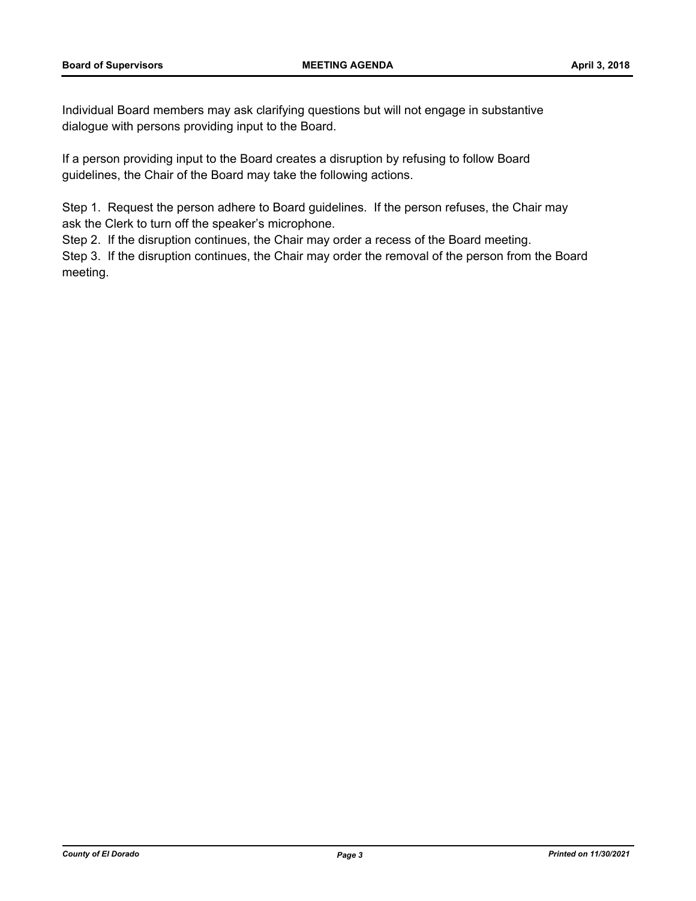Individual Board members may ask clarifying questions but will not engage in substantive dialogue with persons providing input to the Board.

If a person providing input to the Board creates a disruption by refusing to follow Board guidelines, the Chair of the Board may take the following actions.

Step 1. Request the person adhere to Board guidelines. If the person refuses, the Chair may ask the Clerk to turn off the speaker's microphone.

Step 2. If the disruption continues, the Chair may order a recess of the Board meeting.

Step 3. If the disruption continues, the Chair may order the removal of the person from the Board meeting.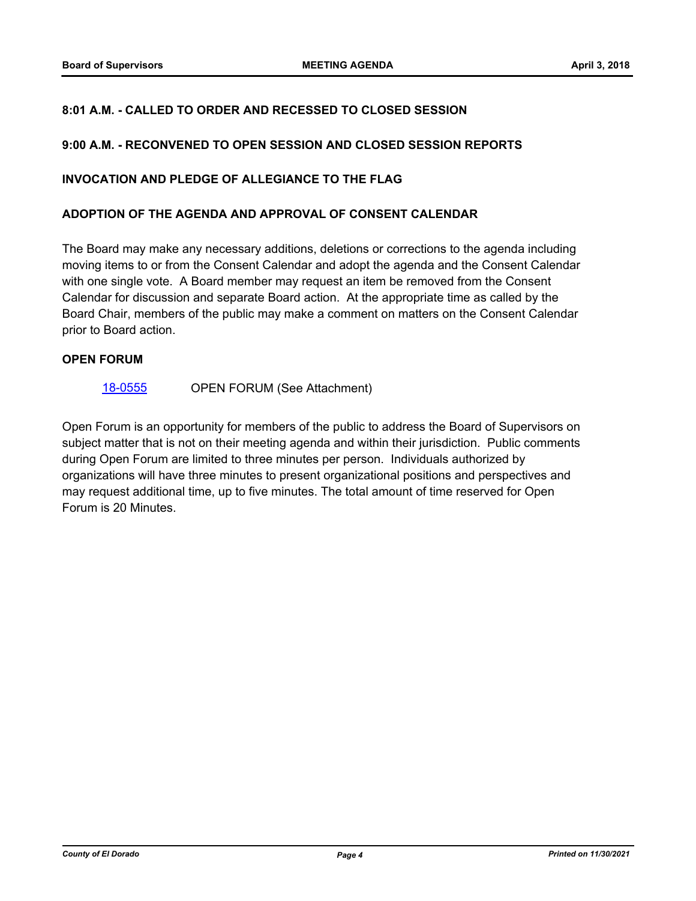## **8:01 A.M. - CALLED TO ORDER AND RECESSED TO CLOSED SESSION**

#### **9:00 A.M. - RECONVENED TO OPEN SESSION AND CLOSED SESSION REPORTS**

#### **INVOCATION AND PLEDGE OF ALLEGIANCE TO THE FLAG**

#### **ADOPTION OF THE AGENDA AND APPROVAL OF CONSENT CALENDAR**

The Board may make any necessary additions, deletions or corrections to the agenda including moving items to or from the Consent Calendar and adopt the agenda and the Consent Calendar with one single vote. A Board member may request an item be removed from the Consent Calendar for discussion and separate Board action. At the appropriate time as called by the Board Chair, members of the public may make a comment on matters on the Consent Calendar prior to Board action.

#### **OPEN FORUM**

#### [18-0555](http://eldorado.legistar.com/gateway.aspx?m=l&id=/matter.aspx?key=23900) OPEN FORUM (See Attachment)

Open Forum is an opportunity for members of the public to address the Board of Supervisors on subject matter that is not on their meeting agenda and within their jurisdiction. Public comments during Open Forum are limited to three minutes per person. Individuals authorized by organizations will have three minutes to present organizational positions and perspectives and may request additional time, up to five minutes. The total amount of time reserved for Open Forum is 20 Minutes.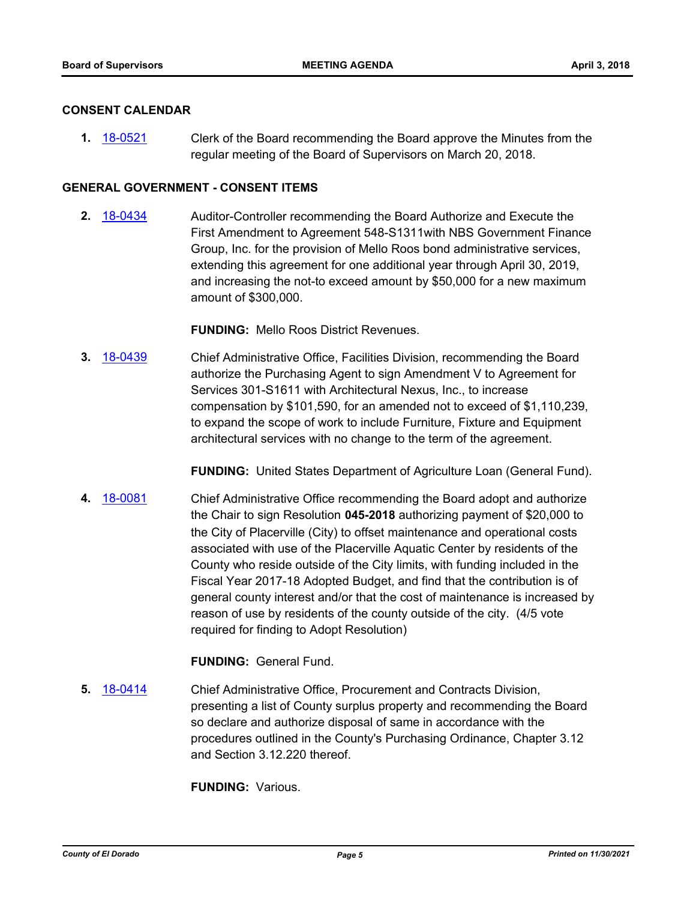#### **CONSENT CALENDAR**

**1.** [18-0521](http://eldorado.legistar.com/gateway.aspx?m=l&id=/matter.aspx?key=23866) Clerk of the Board recommending the Board approve the Minutes from the regular meeting of the Board of Supervisors on March 20, 2018.

## **GENERAL GOVERNMENT - CONSENT ITEMS**

**2.** [18-0434](http://eldorado.legistar.com/gateway.aspx?m=l&id=/matter.aspx?key=23779) Auditor-Controller recommending the Board Authorize and Execute the First Amendment to Agreement 548-S1311with NBS Government Finance Group, Inc. for the provision of Mello Roos bond administrative services, extending this agreement for one additional year through April 30, 2019, and increasing the not-to exceed amount by \$50,000 for a new maximum amount of \$300,000.

**FUNDING:** Mello Roos District Revenues.

**3.** [18-0439](http://eldorado.legistar.com/gateway.aspx?m=l&id=/matter.aspx?key=23784) Chief Administrative Office, Facilities Division, recommending the Board authorize the Purchasing Agent to sign Amendment V to Agreement for Services 301-S1611 with Architectural Nexus, Inc., to increase compensation by \$101,590, for an amended not to exceed of \$1,110,239, to expand the scope of work to include Furniture, Fixture and Equipment architectural services with no change to the term of the agreement.

**FUNDING:** United States Department of Agriculture Loan (General Fund).

**4.** [18-0081](http://eldorado.legistar.com/gateway.aspx?m=l&id=/matter.aspx?key=23422) Chief Administrative Office recommending the Board adopt and authorize the Chair to sign Resolution **045-2018** authorizing payment of \$20,000 to the City of Placerville (City) to offset maintenance and operational costs associated with use of the Placerville Aquatic Center by residents of the County who reside outside of the City limits, with funding included in the Fiscal Year 2017-18 Adopted Budget, and find that the contribution is of general county interest and/or that the cost of maintenance is increased by reason of use by residents of the county outside of the city. (4/5 vote required for finding to Adopt Resolution)

**FUNDING:** General Fund.

**5.** [18-0414](http://eldorado.legistar.com/gateway.aspx?m=l&id=/matter.aspx?key=23759) Chief Administrative Office, Procurement and Contracts Division, presenting a list of County surplus property and recommending the Board so declare and authorize disposal of same in accordance with the procedures outlined in the County's Purchasing Ordinance, Chapter 3.12 and Section 3.12.220 thereof.

**FUNDING:** Various.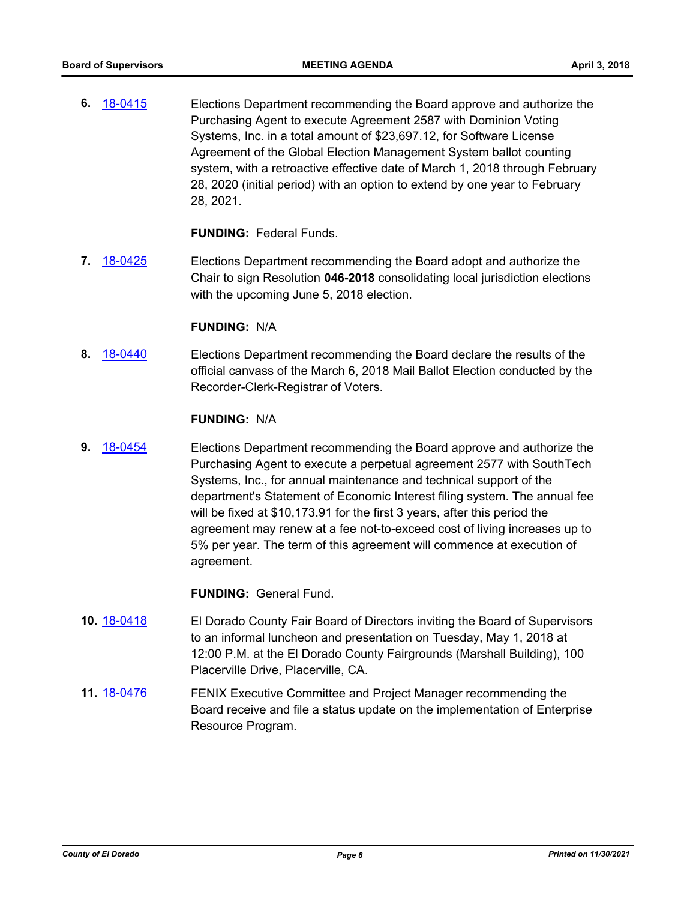**6.** [18-0415](http://eldorado.legistar.com/gateway.aspx?m=l&id=/matter.aspx?key=23760) Elections Department recommending the Board approve and authorize the Purchasing Agent to execute Agreement 2587 with Dominion Voting Systems, Inc. in a total amount of \$23,697.12, for Software License Agreement of the Global Election Management System ballot counting system, with a retroactive effective date of March 1, 2018 through February 28, 2020 (initial period) with an option to extend by one year to February 28, 2021.

## **FUNDING:** Federal Funds.

**7.** [18-0425](http://eldorado.legistar.com/gateway.aspx?m=l&id=/matter.aspx?key=23770) Elections Department recommending the Board adopt and authorize the Chair to sign Resolution **046-2018** consolidating local jurisdiction elections with the upcoming June 5, 2018 election.

#### **FUNDING:** N/A

**8.** [18-0440](http://eldorado.legistar.com/gateway.aspx?m=l&id=/matter.aspx?key=23785) Elections Department recommending the Board declare the results of the official canvass of the March 6, 2018 Mail Ballot Election conducted by the Recorder-Clerk-Registrar of Voters.

#### **FUNDING:** N/A

**9.** [18-0454](http://eldorado.legistar.com/gateway.aspx?m=l&id=/matter.aspx?key=23799) Elections Department recommending the Board approve and authorize the Purchasing Agent to execute a perpetual agreement 2577 with SouthTech Systems, Inc., for annual maintenance and technical support of the department's Statement of Economic Interest filing system. The annual fee will be fixed at \$10,173.91 for the first 3 years, after this period the agreement may renew at a fee not-to-exceed cost of living increases up to 5% per year. The term of this agreement will commence at execution of agreement.

- **10.** [18-0418](http://eldorado.legistar.com/gateway.aspx?m=l&id=/matter.aspx?key=23763) El Dorado County Fair Board of Directors inviting the Board of Supervisors to an informal luncheon and presentation on Tuesday, May 1, 2018 at 12:00 P.M. at the El Dorado County Fairgrounds (Marshall Building), 100 Placerville Drive, Placerville, CA.
- **11.** [18-0476](http://eldorado.legistar.com/gateway.aspx?m=l&id=/matter.aspx?key=23821) **FENIX Executive Committee and Project Manager recommending the** Board receive and file a status update on the implementation of Enterprise Resource Program.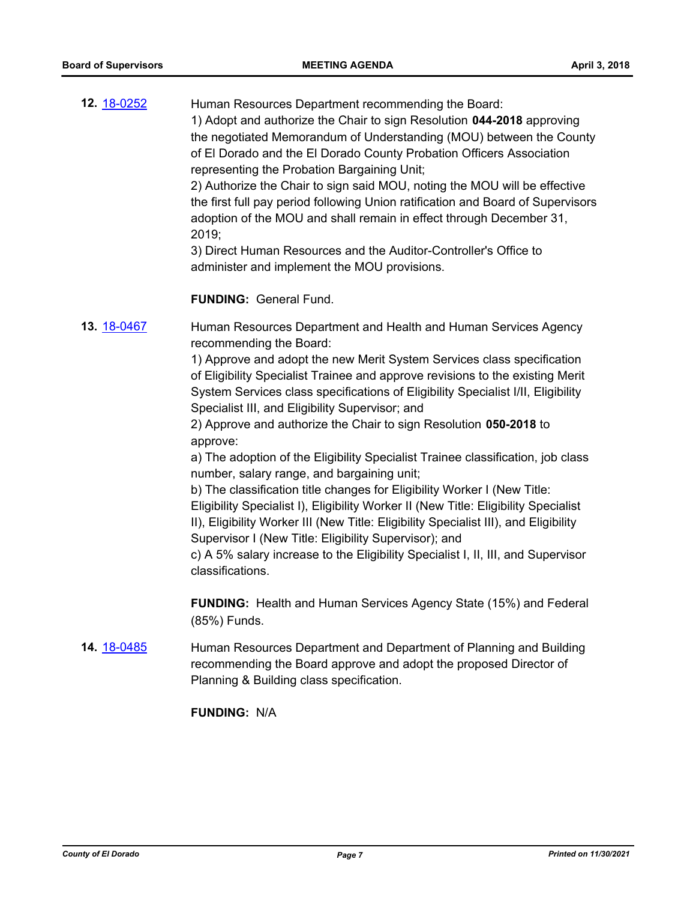**12.** [18-0252](http://eldorado.legistar.com/gateway.aspx?m=l&id=/matter.aspx?key=23595) Human Resources Department recommending the Board: 1) Adopt and authorize the Chair to sign Resolution **044-2018** approving the negotiated Memorandum of Understanding (MOU) between the County of El Dorado and the El Dorado County Probation Officers Association representing the Probation Bargaining Unit; 2) Authorize the Chair to sign said MOU, noting the MOU will be effective the first full pay period following Union ratification and Board of Supervisors

adoption of the MOU and shall remain in effect through December 31, 2019;

3) Direct Human Resources and the Auditor-Controller's Office to administer and implement the MOU provisions.

#### **FUNDING:** General Fund.

**13.** [18-0467](http://eldorado.legistar.com/gateway.aspx?m=l&id=/matter.aspx?key=23812) Human Resources Department and Health and Human Services Agency recommending the Board:

> 1) Approve and adopt the new Merit System Services class specification of Eligibility Specialist Trainee and approve revisions to the existing Merit System Services class specifications of Eligibility Specialist I/II, Eligibility Specialist III, and Eligibility Supervisor; and

2) Approve and authorize the Chair to sign Resolution **050-2018** to approve:

a) The adoption of the Eligibility Specialist Trainee classification, job class number, salary range, and bargaining unit;

b) The classification title changes for Eligibility Worker I (New Title: Eligibility Specialist I), Eligibility Worker II (New Title: Eligibility Specialist II), Eligibility Worker III (New Title: Eligibility Specialist III), and Eligibility Supervisor I (New Title: Eligibility Supervisor); and

c) A 5% salary increase to the Eligibility Specialist I, II, III, and Supervisor classifications.

**FUNDING:** Health and Human Services Agency State (15%) and Federal (85%) Funds.

**14.** [18-0485](http://eldorado.legistar.com/gateway.aspx?m=l&id=/matter.aspx?key=23830) Human Resources Department and Department of Planning and Building recommending the Board approve and adopt the proposed Director of Planning & Building class specification.

**FUNDING:** N/A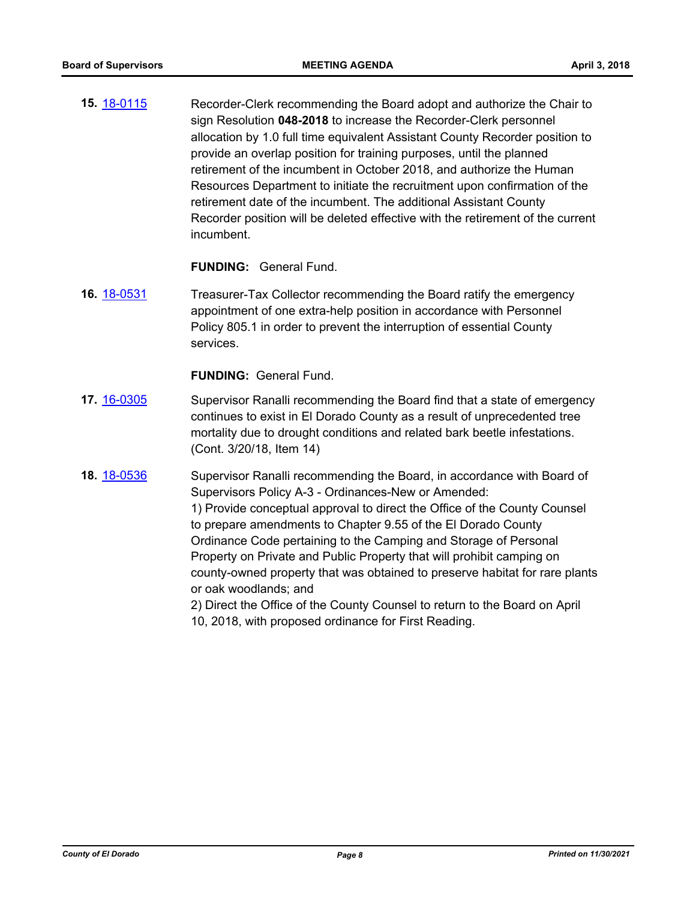**15.** [18-0115](http://eldorado.legistar.com/gateway.aspx?m=l&id=/matter.aspx?key=23457) Recorder-Clerk recommending the Board adopt and authorize the Chair to sign Resolution **048-2018** to increase the Recorder-Clerk personnel allocation by 1.0 full time equivalent Assistant County Recorder position to provide an overlap position for training purposes, until the planned retirement of the incumbent in October 2018, and authorize the Human Resources Department to initiate the recruitment upon confirmation of the retirement date of the incumbent. The additional Assistant County Recorder position will be deleted effective with the retirement of the current incumbent.

**FUNDING:** General Fund.

**16.** [18-0531](http://eldorado.legistar.com/gateway.aspx?m=l&id=/matter.aspx?key=23876) Treasurer-Tax Collector recommending the Board ratify the emergency appointment of one extra-help position in accordance with Personnel Policy 805.1 in order to prevent the interruption of essential County services.

- **17.** [16-0305](http://eldorado.legistar.com/gateway.aspx?m=l&id=/matter.aspx?key=20961) Supervisor Ranalli recommending the Board find that a state of emergency continues to exist in El Dorado County as a result of unprecedented tree mortality due to drought conditions and related bark beetle infestations. (Cont. 3/20/18, Item 14)
- **18.** [18-0536](http://eldorado.legistar.com/gateway.aspx?m=l&id=/matter.aspx?key=23881) Supervisor Ranalli recommending the Board, in accordance with Board of Supervisors Policy A-3 - Ordinances-New or Amended: 1) Provide conceptual approval to direct the Office of the County Counsel to prepare amendments to Chapter 9.55 of the El Dorado County Ordinance Code pertaining to the Camping and Storage of Personal Property on Private and Public Property that will prohibit camping on county-owned property that was obtained to preserve habitat for rare plants or oak woodlands; and 2) Direct the Office of the County Counsel to return to the Board on April 10, 2018, with proposed ordinance for First Reading.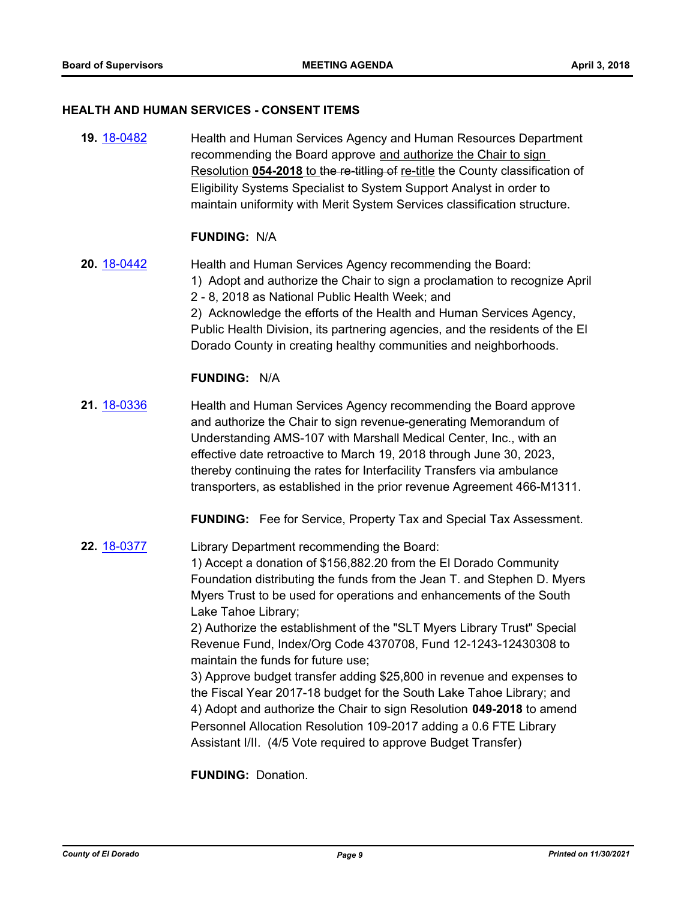#### **HEALTH AND HUMAN SERVICES - CONSENT ITEMS**

**19.** [18-0482](http://eldorado.legistar.com/gateway.aspx?m=l&id=/matter.aspx?key=23827) Health and Human Services Agency and Human Resources Department recommending the Board approve and authorize the Chair to sign Resolution 054-2018 to the re-titling of re-title the County classification of Eligibility Systems Specialist to System Support Analyst in order to maintain uniformity with Merit System Services classification structure.

#### **FUNDING:** N/A

**20.** [18-0442](http://eldorado.legistar.com/gateway.aspx?m=l&id=/matter.aspx?key=23787) Health and Human Services Agency recommending the Board: 1) Adopt and authorize the Chair to sign a proclamation to recognize April 2 - 8, 2018 as National Public Health Week; and 2) Acknowledge the efforts of the Health and Human Services Agency, Public Health Division, its partnering agencies, and the residents of the El Dorado County in creating healthy communities and neighborhoods.

## **FUNDING:** N/A

**21.** [18-0336](http://eldorado.legistar.com/gateway.aspx?m=l&id=/matter.aspx?key=23679) Health and Human Services Agency recommending the Board approve and authorize the Chair to sign revenue-generating Memorandum of Understanding AMS-107 with Marshall Medical Center, Inc., with an effective date retroactive to March 19, 2018 through June 30, 2023, thereby continuing the rates for Interfacility Transfers via ambulance transporters, as established in the prior revenue Agreement 466-M1311.

**FUNDING:** Fee for Service, Property Tax and Special Tax Assessment.

**22.** [18-0377](http://eldorado.legistar.com/gateway.aspx?m=l&id=/matter.aspx?key=23722) Library Department recommending the Board: 1) Accept a donation of \$156,882.20 from the El Dorado Community Foundation distributing the funds from the Jean T. and Stephen D. Myers Myers Trust to be used for operations and enhancements of the South Lake Tahoe Library;

> 2) Authorize the establishment of the "SLT Myers Library Trust" Special Revenue Fund, Index/Org Code 4370708, Fund 12-1243-12430308 to maintain the funds for future use;

> 3) Approve budget transfer adding \$25,800 in revenue and expenses to the Fiscal Year 2017-18 budget for the South Lake Tahoe Library; and 4) Adopt and authorize the Chair to sign Resolution **049-2018** to amend Personnel Allocation Resolution 109-2017 adding a 0.6 FTE Library Assistant I/II. (4/5 Vote required to approve Budget Transfer)

**FUNDING:** Donation.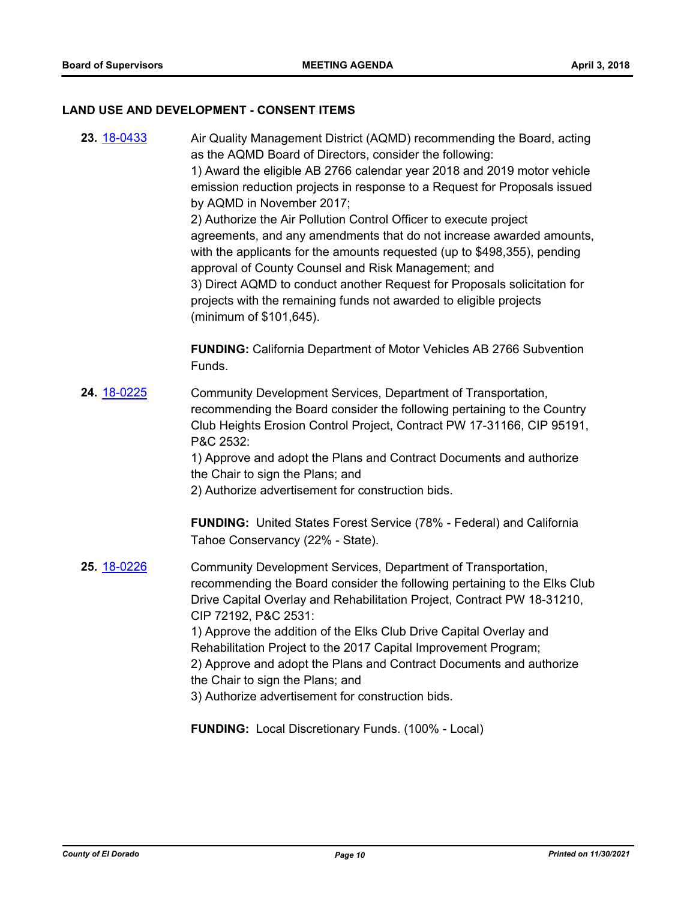#### **LAND USE AND DEVELOPMENT - CONSENT ITEMS**

**23.** [18-0433](http://eldorado.legistar.com/gateway.aspx?m=l&id=/matter.aspx?key=23778) Air Quality Management District (AQMD) recommending the Board, acting as the AQMD Board of Directors, consider the following: 1) Award the eligible AB 2766 calendar year 2018 and 2019 motor vehicle emission reduction projects in response to a Request for Proposals issued by AQMD in November 2017; 2) Authorize the Air Pollution Control Officer to execute project agreements, and any amendments that do not increase awarded amounts, with the applicants for the amounts requested (up to \$498,355), pending approval of County Counsel and Risk Management; and 3) Direct AQMD to conduct another Request for Proposals solicitation for projects with the remaining funds not awarded to eligible projects (minimum of \$101,645). **FUNDING:** California Department of Motor Vehicles AB 2766 Subvention Funds. **24.** [18-0225](http://eldorado.legistar.com/gateway.aspx?m=l&id=/matter.aspx?key=23567) Community Development Services, Department of Transportation, recommending the Board consider the following pertaining to the Country Club Heights Erosion Control Project, Contract PW 17-31166, CIP 95191, P&C 2532: 1) Approve and adopt the Plans and Contract Documents and authorize the Chair to sign the Plans; and 2) Authorize advertisement for construction bids. **FUNDING:** United States Forest Service (78% - Federal) and California Tahoe Conservancy (22% - State). **25.** [18-0226](http://eldorado.legistar.com/gateway.aspx?m=l&id=/matter.aspx?key=23568) Community Development Services, Department of Transportation, recommending the Board consider the following pertaining to the Elks Club Drive Capital Overlay and Rehabilitation Project, Contract PW 18-31210, CIP 72192, P&C 2531: 1) Approve the addition of the Elks Club Drive Capital Overlay and Rehabilitation Project to the 2017 Capital Improvement Program; 2) Approve and adopt the Plans and Contract Documents and authorize the Chair to sign the Plans; and 3) Authorize advertisement for construction bids.

**FUNDING:** Local Discretionary Funds. (100% - Local)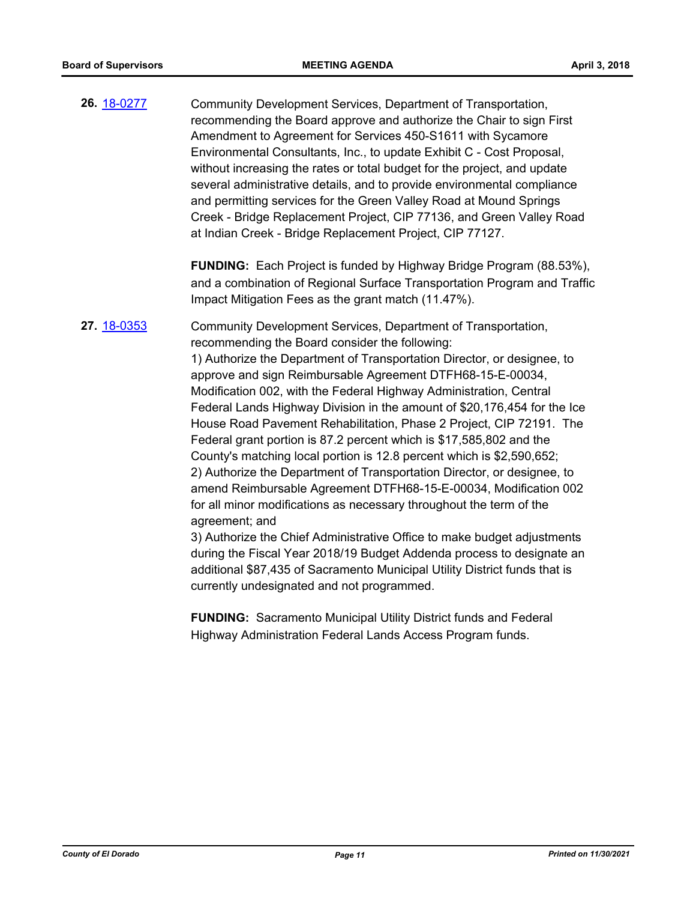**26.** [18-0277](http://eldorado.legistar.com/gateway.aspx?m=l&id=/matter.aspx?key=23620) Community Development Services, Department of Transportation, recommending the Board approve and authorize the Chair to sign First Amendment to Agreement for Services 450-S1611 with Sycamore Environmental Consultants, Inc., to update Exhibit C - Cost Proposal, without increasing the rates or total budget for the project, and update several administrative details, and to provide environmental compliance and permitting services for the Green Valley Road at Mound Springs Creek - Bridge Replacement Project, CIP 77136, and Green Valley Road at Indian Creek - Bridge Replacement Project, CIP 77127.

> **FUNDING:** Each Project is funded by Highway Bridge Program (88.53%), and a combination of Regional Surface Transportation Program and Traffic Impact Mitigation Fees as the grant match (11.47%).

**27.** [18-0353](http://eldorado.legistar.com/gateway.aspx?m=l&id=/matter.aspx?key=23696) Community Development Services, Department of Transportation, recommending the Board consider the following:

> 1) Authorize the Department of Transportation Director, or designee, to approve and sign Reimbursable Agreement DTFH68-15-E-00034, Modification 002, with the Federal Highway Administration, Central Federal Lands Highway Division in the amount of \$20,176,454 for the Ice House Road Pavement Rehabilitation, Phase 2 Project, CIP 72191. The Federal grant portion is 87.2 percent which is \$17,585,802 and the County's matching local portion is 12.8 percent which is \$2,590,652; 2) Authorize the Department of Transportation Director, or designee, to amend Reimbursable Agreement DTFH68-15-E-00034, Modification 002 for all minor modifications as necessary throughout the term of the agreement; and

> 3) Authorize the Chief Administrative Office to make budget adjustments during the Fiscal Year 2018/19 Budget Addenda process to designate an additional \$87,435 of Sacramento Municipal Utility District funds that is currently undesignated and not programmed.

**FUNDING:** Sacramento Municipal Utility District funds and Federal Highway Administration Federal Lands Access Program funds.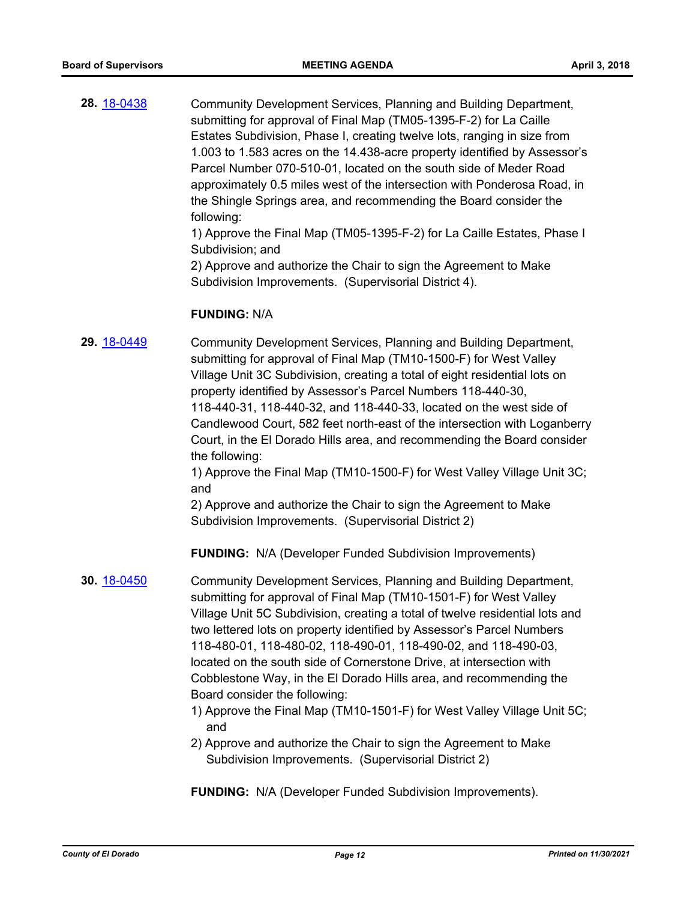**28.** [18-0438](http://eldorado.legistar.com/gateway.aspx?m=l&id=/matter.aspx?key=23783) Community Development Services, Planning and Building Department, submitting for approval of Final Map (TM05-1395-F-2) for La Caille Estates Subdivision, Phase I, creating twelve lots, ranging in size from 1.003 to 1.583 acres on the 14.438-acre property identified by Assessor's Parcel Number 070-510-01, located on the south side of Meder Road approximately 0.5 miles west of the intersection with Ponderosa Road, in the Shingle Springs area, and recommending the Board consider the following: 1) Approve the Final Map (TM05-1395-F-2) for La Caille Estates, Phase I

> Subdivision; and 2) Approve and authorize the Chair to sign the Agreement to Make Subdivision Improvements. (Supervisorial District 4).

#### **FUNDING:** N/A

**29.** [18-0449](http://eldorado.legistar.com/gateway.aspx?m=l&id=/matter.aspx?key=23794) Community Development Services, Planning and Building Department, submitting for approval of Final Map (TM10-1500-F) for West Valley Village Unit 3C Subdivision, creating a total of eight residential lots on property identified by Assessor's Parcel Numbers 118-440-30, 118-440-31, 118-440-32, and 118-440-33, located on the west side of Candlewood Court, 582 feet north-east of the intersection with Loganberry Court, in the El Dorado Hills area, and recommending the Board consider the following:

1) Approve the Final Map (TM10-1500-F) for West Valley Village Unit 3C; and

2) Approve and authorize the Chair to sign the Agreement to Make Subdivision Improvements. (Supervisorial District 2)

**FUNDING:** N/A (Developer Funded Subdivision Improvements)

- **30.** [18-0450](http://eldorado.legistar.com/gateway.aspx?m=l&id=/matter.aspx?key=23795) Community Development Services, Planning and Building Department, submitting for approval of Final Map (TM10-1501-F) for West Valley Village Unit 5C Subdivision, creating a total of twelve residential lots and two lettered lots on property identified by Assessor's Parcel Numbers 118-480-01, 118-480-02, 118-490-01, 118-490-02, and 118-490-03, located on the south side of Cornerstone Drive, at intersection with Cobblestone Way, in the El Dorado Hills area, and recommending the Board consider the following:
	- 1) Approve the Final Map (TM10-1501-F) for West Valley Village Unit 5C; and
	- 2) Approve and authorize the Chair to sign the Agreement to Make Subdivision Improvements. (Supervisorial District 2)

**FUNDING:** N/A (Developer Funded Subdivision Improvements).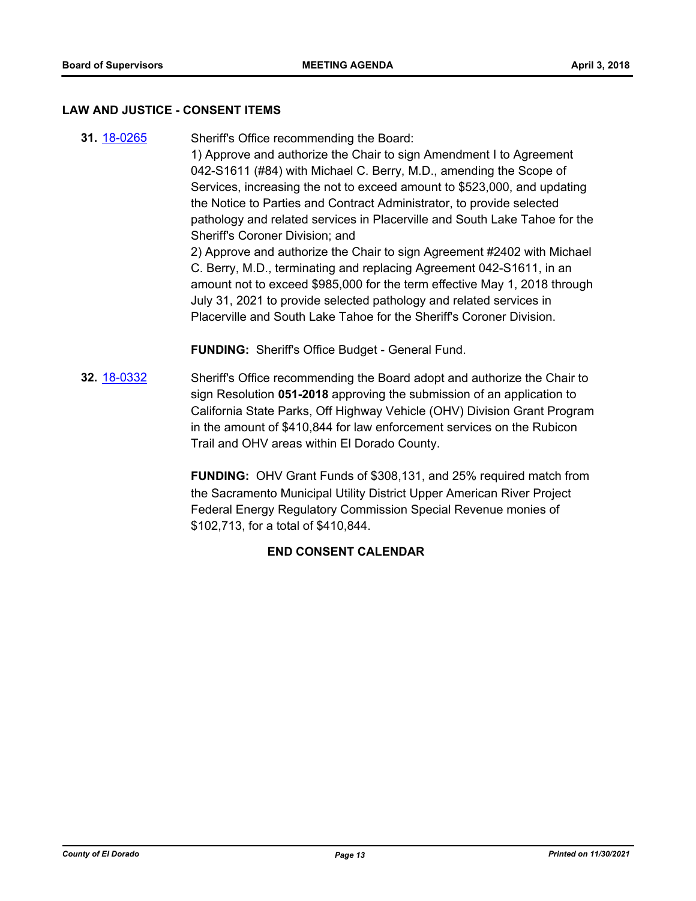#### **LAW AND JUSTICE - CONSENT ITEMS**

- **31.** [18-0265](http://eldorado.legistar.com/gateway.aspx?m=l&id=/matter.aspx?key=23608) Sheriff's Office recommending the Board: 1) Approve and authorize the Chair to sign Amendment I to Agreement 042-S1611 (#84) with Michael C. Berry, M.D., amending the Scope of Services, increasing the not to exceed amount to \$523,000, and updating the Notice to Parties and Contract Administrator, to provide selected pathology and related services in Placerville and South Lake Tahoe for the Sheriff's Coroner Division; and 2) Approve and authorize the Chair to sign Agreement #2402 with Michael C. Berry, M.D., terminating and replacing Agreement 042-S1611, in an amount not to exceed \$985,000 for the term effective May 1, 2018 through July 31, 2021 to provide selected pathology and related services in Placerville and South Lake Tahoe for the Sheriff's Coroner Division. **FUNDING:** Sheriff's Office Budget - General Fund.
- **32.** [18-0332](http://eldorado.legistar.com/gateway.aspx?m=l&id=/matter.aspx?key=23675) Sheriff's Office recommending the Board adopt and authorize the Chair to sign Resolution **051-2018** approving the submission of an application to California State Parks, Off Highway Vehicle (OHV) Division Grant Program in the amount of \$410,844 for law enforcement services on the Rubicon Trail and OHV areas within El Dorado County.

**FUNDING:** OHV Grant Funds of \$308,131, and 25% required match from the Sacramento Municipal Utility District Upper American River Project Federal Energy Regulatory Commission Special Revenue monies of \$102,713, for a total of \$410,844.

## **END CONSENT CALENDAR**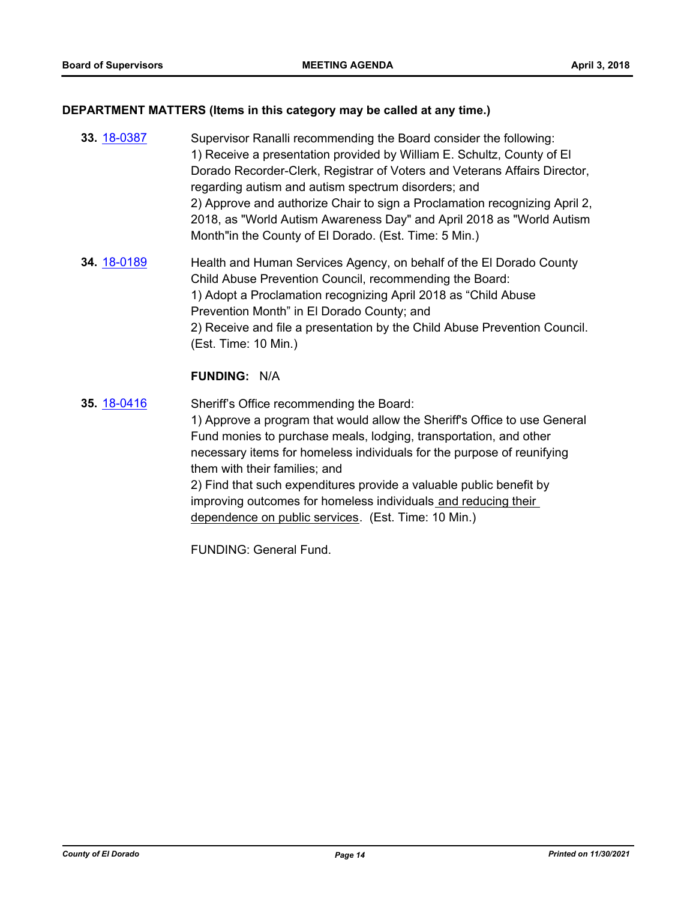#### **DEPARTMENT MATTERS (Items in this category may be called at any time.)**

- **33.** [18-0387](http://eldorado.legistar.com/gateway.aspx?m=l&id=/matter.aspx?key=23732) Supervisor Ranalli recommending the Board consider the following: 1) Receive a presentation provided by William E. Schultz, County of El Dorado Recorder-Clerk, Registrar of Voters and Veterans Affairs Director, regarding autism and autism spectrum disorders; and 2) Approve and authorize Chair to sign a Proclamation recognizing April 2, 2018, as "World Autism Awareness Day" and April 2018 as "World Autism Month"in the County of El Dorado. (Est. Time: 5 Min.)
- **34.** [18-0189](http://eldorado.legistar.com/gateway.aspx?m=l&id=/matter.aspx?key=23531) Health and Human Services Agency, on behalf of the El Dorado County Child Abuse Prevention Council, recommending the Board: 1) Adopt a Proclamation recognizing April 2018 as "Child Abuse Prevention Month" in El Dorado County; and 2) Receive and file a presentation by the Child Abuse Prevention Council. (Est. Time: 10 Min.)

#### **FUNDING:** N/A

**35.** [18-0416](http://eldorado.legistar.com/gateway.aspx?m=l&id=/matter.aspx?key=23761) Sheriff's Office recommending the Board: 1) Approve a program that would allow the Sheriff's Office to use General Fund monies to purchase meals, lodging, transportation, and other necessary items for homeless individuals for the purpose of reunifying them with their families; and 2) Find that such expenditures provide a valuable public benefit by improving outcomes for homeless individuals and reducing their dependence on public services. (Est. Time: 10 Min.)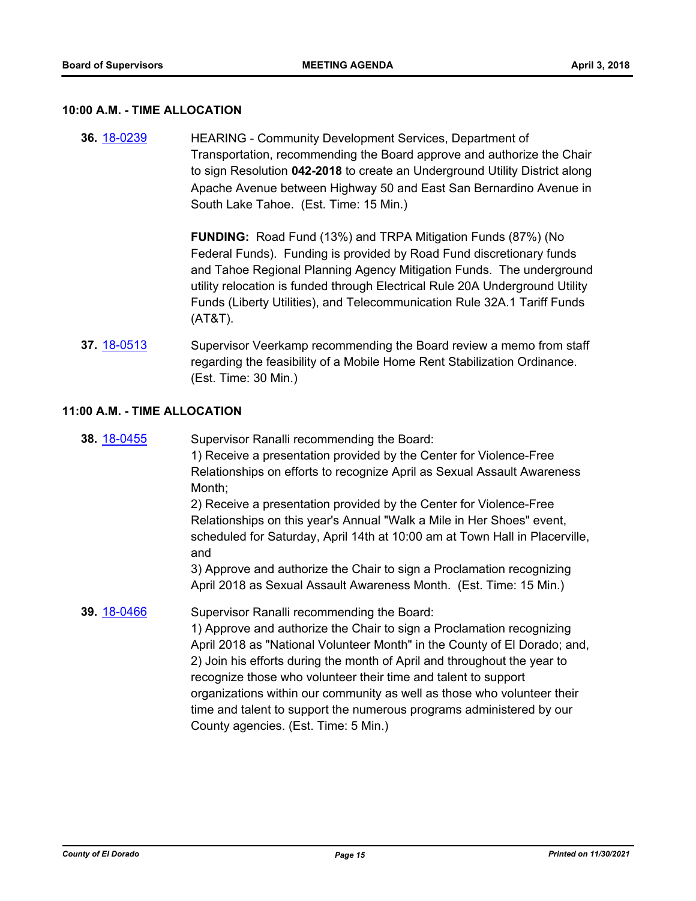#### **10:00 A.M. - TIME ALLOCATION**

**36.** [18-0239](http://eldorado.legistar.com/gateway.aspx?m=l&id=/matter.aspx?key=23581) HEARING - Community Development Services, Department of Transportation, recommending the Board approve and authorize the Chair to sign Resolution **042-2018** to create an Underground Utility District along Apache Avenue between Highway 50 and East San Bernardino Avenue in South Lake Tahoe. (Est. Time: 15 Min.)

> **FUNDING:** Road Fund (13%) and TRPA Mitigation Funds (87%) (No Federal Funds). Funding is provided by Road Fund discretionary funds and Tahoe Regional Planning Agency Mitigation Funds. The underground utility relocation is funded through Electrical Rule 20A Underground Utility Funds (Liberty Utilities), and Telecommunication Rule 32A.1 Tariff Funds (AT&T).

**37.** [18-0513](http://eldorado.legistar.com/gateway.aspx?m=l&id=/matter.aspx?key=23858) Supervisor Veerkamp recommending the Board review a memo from staff regarding the feasibility of a Mobile Home Rent Stabilization Ordinance. (Est. Time: 30 Min.)

#### **11:00 A.M. - TIME ALLOCATION**

**38.** [18-0455](http://eldorado.legistar.com/gateway.aspx?m=l&id=/matter.aspx?key=23800) Supervisor Ranalli recommending the Board:

1) Receive a presentation provided by the Center for Violence-Free Relationships on efforts to recognize April as Sexual Assault Awareness Month;

2) Receive a presentation provided by the Center for Violence-Free Relationships on this year's Annual "Walk a Mile in Her Shoes" event, scheduled for Saturday, April 14th at 10:00 am at Town Hall in Placerville, and

3) Approve and authorize the Chair to sign a Proclamation recognizing April 2018 as Sexual Assault Awareness Month. (Est. Time: 15 Min.)

**39.** [18-0466](http://eldorado.legistar.com/gateway.aspx?m=l&id=/matter.aspx?key=23811) Supervisor Ranalli recommending the Board:

1) Approve and authorize the Chair to sign a Proclamation recognizing April 2018 as "National Volunteer Month" in the County of El Dorado; and, 2) Join his efforts during the month of April and throughout the year to recognize those who volunteer their time and talent to support organizations within our community as well as those who volunteer their time and talent to support the numerous programs administered by our County agencies. (Est. Time: 5 Min.)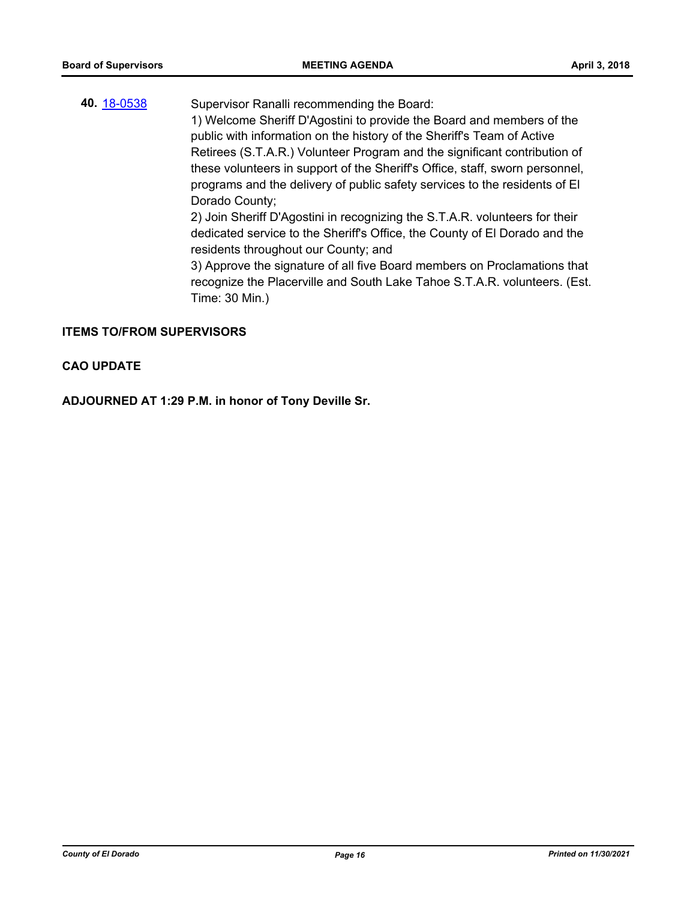**40.** [18-0538](http://eldorado.legistar.com/gateway.aspx?m=l&id=/matter.aspx?key=23883) Supervisor Ranalli recommending the Board: 1) Welcome Sheriff D'Agostini to provide the Board and members of the public with information on the history of the Sheriff's Team of Active Retirees (S.T.A.R.) Volunteer Program and the significant contribution of these volunteers in support of the Sheriff's Office, staff, sworn personnel, programs and the delivery of public safety services to the residents of El Dorado County; 2) Join Sheriff D'Agostini in recognizing the S.T.A.R. volunteers for their dedicated service to the Sheriff's Office, the County of El Dorado and the residents throughout our County; and 3) Approve the signature of all five Board members on Proclamations that recognize the Placerville and South Lake Tahoe S.T.A.R. volunteers. (Est. Time: 30 Min.)

#### **ITEMS TO/FROM SUPERVISORS**

#### **CAO UPDATE**

**ADJOURNED AT 1:29 P.M. in honor of Tony Deville Sr.**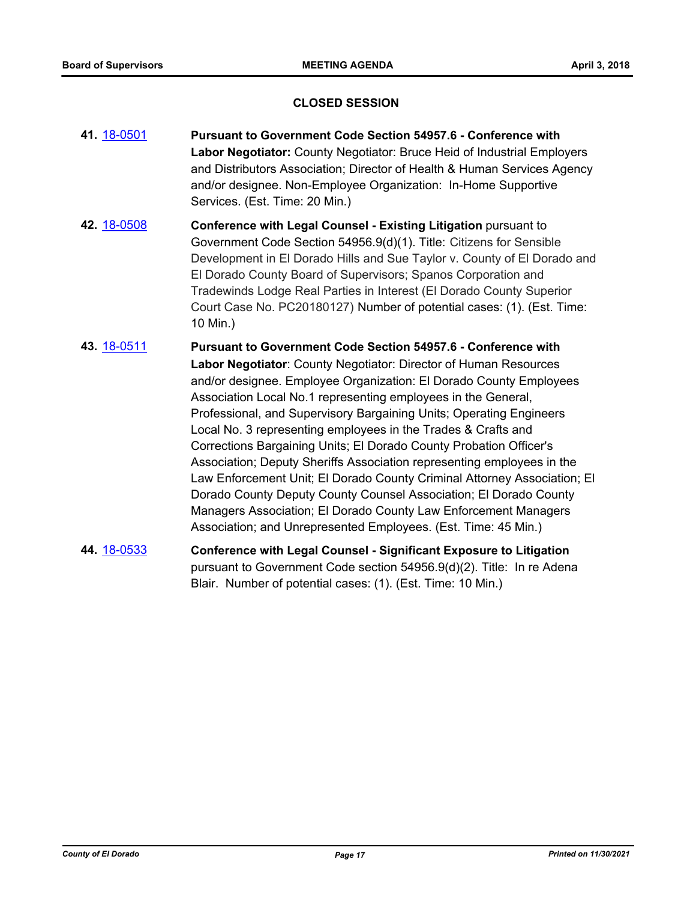## **CLOSED SESSION**

- **41.** [18-0501](http://eldorado.legistar.com/gateway.aspx?m=l&id=/matter.aspx?key=23846) **Pursuant to Government Code Section 54957.6 Conference with Labor Negotiator:** County Negotiator: Bruce Heid of Industrial Employers and Distributors Association; Director of Health & Human Services Agency and/or designee. Non-Employee Organization: In-Home Supportive Services. (Est. Time: 20 Min.)
- **42.** [18-0508](http://eldorado.legistar.com/gateway.aspx?m=l&id=/matter.aspx?key=23853) **Conference with Legal Counsel - Existing Litigation** pursuant to Government Code Section 54956.9(d)(1). Title: Citizens for Sensible Development in El Dorado Hills and Sue Taylor v. County of El Dorado and El Dorado County Board of Supervisors; Spanos Corporation and Tradewinds Lodge Real Parties in Interest (El Dorado County Superior Court Case No. PC20180127) Number of potential cases: (1). (Est. Time: 10 Min.)
- **43.** [18-0511](http://eldorado.legistar.com/gateway.aspx?m=l&id=/matter.aspx?key=23856) **Pursuant to Government Code Section 54957.6 Conference with Labor Negotiator**: County Negotiator: Director of Human Resources and/or designee. Employee Organization: El Dorado County Employees Association Local No.1 representing employees in the General, Professional, and Supervisory Bargaining Units; Operating Engineers Local No. 3 representing employees in the Trades & Crafts and Corrections Bargaining Units; El Dorado County Probation Officer's Association; Deputy Sheriffs Association representing employees in the Law Enforcement Unit; El Dorado County Criminal Attorney Association; El Dorado County Deputy County Counsel Association; El Dorado County Managers Association; El Dorado County Law Enforcement Managers Association; and Unrepresented Employees. (Est. Time: 45 Min.)
- **44.** [18-0533](http://eldorado.legistar.com/gateway.aspx?m=l&id=/matter.aspx?key=23878) **Conference with Legal Counsel Significant Exposure to Litigation** pursuant to Government Code section 54956.9(d)(2). Title: In re Adena Blair. Number of potential cases: (1). (Est. Time: 10 Min.)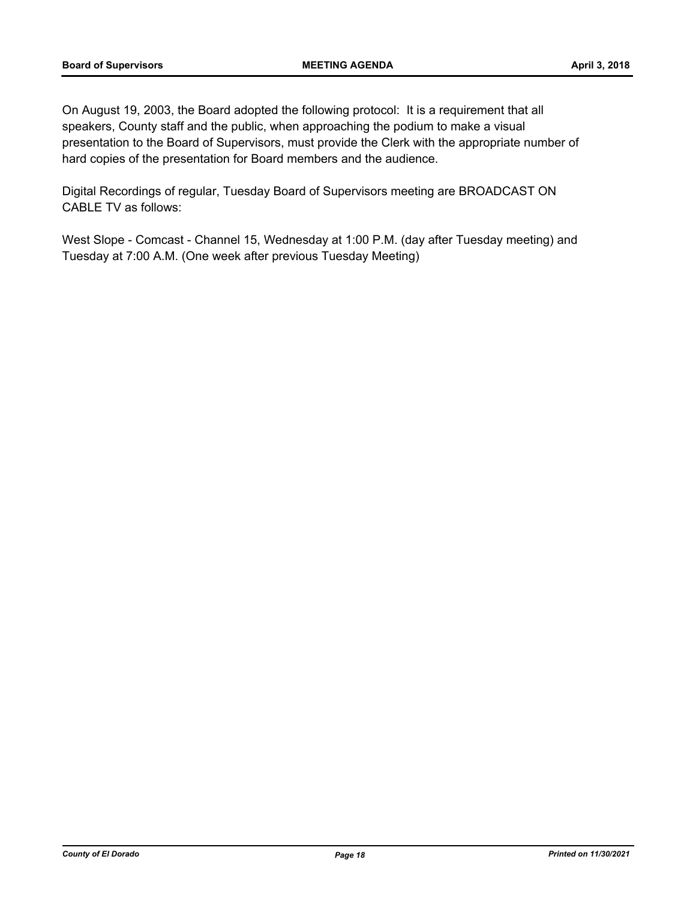On August 19, 2003, the Board adopted the following protocol: It is a requirement that all speakers, County staff and the public, when approaching the podium to make a visual presentation to the Board of Supervisors, must provide the Clerk with the appropriate number of hard copies of the presentation for Board members and the audience.

Digital Recordings of regular, Tuesday Board of Supervisors meeting are BROADCAST ON CABLE TV as follows:

West Slope - Comcast - Channel 15, Wednesday at 1:00 P.M. (day after Tuesday meeting) and Tuesday at 7:00 A.M. (One week after previous Tuesday Meeting)